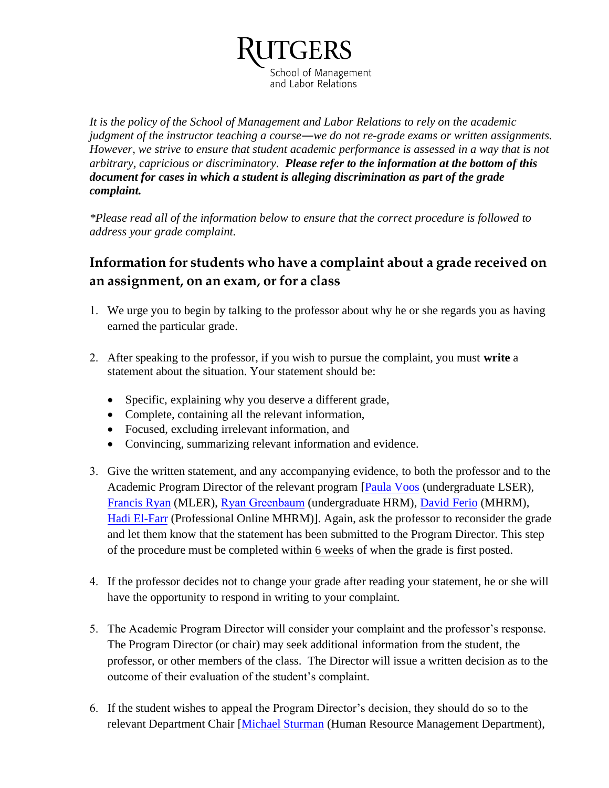School of Management and Labor Relations

*It is the policy of the School of Management and Labor Relations to rely on the academic judgment of the instructor teaching a course―we do not re-grade exams or written assignments. However, we strive to ensure that student academic performance is assessed in a way that is not arbitrary, capricious or discriminatory. Please refer to the information at the bottom of this document for cases in which a student is alleging discrimination as part of the grade complaint.* 

*\*Please read all of the information below to ensure that the correct procedure is followed to address your grade complaint.*

## **Information for students who have a complaint about a grade received on an assignment, on an exam, or for a class**

- 1. We urge you to begin by talking to the professor about why he or she regards you as having earned the particular grade.
- 2. After speaking to the professor, if you wish to pursue the complaint, you must **write** a statement about the situation. Your statement should be:
	- Specific, explaining why you deserve a different grade,
	- Complete, containing all the relevant information,
	- Focused, excluding irrelevant information, and
	- Convincing, summarizing relevant information and evidence.
- 3. Give the written statement, and any accompanying evidence, to both the professor and to the Academic Program Director of the relevant program [\[Paula Voos](http://smlr.rutgers.edu/faculty-staff/paula-b-voos) (undergraduate LSER), [Francis Ryan](http://smlr.rutgers.edu/faculty-staff/francis-ryan) (MLER), [Ryan Greenbaum](http://smlr.rutgers.edu/faculty-staff/ryan-greenbaum) (undergraduate HRM), [David Ferio](http://smlr.rutgers.edu/faculty-staff/david-ferio) (MHRM), [Hadi El-Farr](https://smlr.rutgers.edu/faculty-staff/hadi-el-farr) (Professional Online MHRM)]. Again, ask the professor to reconsider the grade and let them know that the statement has been submitted to the Program Director. This step of the procedure must be completed within 6 weeks of when the grade is first posted.
- 4. If the professor decides not to change your grade after reading your statement, he or she will have the opportunity to respond in writing to your complaint.
- 5. The Academic Program Director will consider your complaint and the professor's response. The Program Director (or chair) may seek additional information from the student, the professor, or other members of the class. The Director will issue a written decision as to the outcome of their evaluation of the student's complaint.
- 6. If the student wishes to appeal the Program Director's decision, they should do so to the relevant Department Chair [\[Michael Sturman](https://smlr.rutgers.edu/faculty-staff/michael-c-sturman) (Human Resource Management Department),